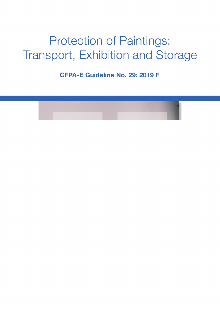

Protection of Paintings: Transport, Exhibition and Storage

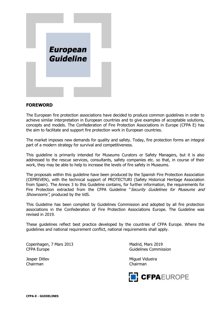

# **FOREWORD**

The European fire protection associations have decided to produce common guidelines in order to achieve similar interpretation in European countries and to give examples of acceptable solutions, concepts and models. The Confederation of Fire Protection Associations in Europe (CFPA E) has the aim to facilitate and support fire protection work in European countries.

The market imposes new demands for quality and safety. Today, fire protection forms an integral part of a modern strategy for survival and competitiveness.

This guideline is primarily intended for Museums Curators or Safety Managers, but it is also addressed to the rescue services, consultants, safety companies etc. so that, in course of their work, they may be able to help to increase the levels of fire safety in Museums.

The proposals within this guideline have been produced by the Spanish Fire Protection Association (CEPREVEN), with the technical support of PROTECTURI (Safety Historical Heritage Association from Spain). The Annex 3 to this Guideline contains, for further information, the requirements for Fire Protection extracted from the CFPA Guideline "Security Guidelines for Museums and Showrooms", produced by the VdS.

This Guideline has been compiled by Guidelines Commission and adopted by all fire protection associations in the Confederation of Fire Protection Associations Europe. The Guideline was revised in 2019.

These guidelines reflect best practice developed by the countries of CFPA Europe. Where the guidelines and national requirement conflict, national requirements shall apply.

Copenhagen, 7 Mars 2013 Madrid, Mars 2019 CFPA Europe CFPA Europe CFPA Europe CFPA Europe CFPA Europe Commission

Chairman Chairman

Jesper Ditlev Miguel Vidueira

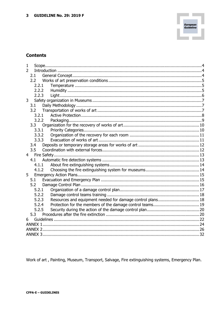# **Contents**

| 1                                                                   |  |
|---------------------------------------------------------------------|--|
| $\overline{2}$                                                      |  |
| 2.1                                                                 |  |
| 2.2                                                                 |  |
| 2.2.1                                                               |  |
| 2.2.2                                                               |  |
| 2.2.3                                                               |  |
| 3                                                                   |  |
| 3.1                                                                 |  |
| 3.2                                                                 |  |
| 3.2.1                                                               |  |
| 3.2.2                                                               |  |
| 3.3                                                                 |  |
| 3.3.1                                                               |  |
| 3.3.2                                                               |  |
| 3.3.3                                                               |  |
| 3.4                                                                 |  |
| 3.5                                                                 |  |
| $\overline{4}$                                                      |  |
| 4.1                                                                 |  |
| 4.1.1                                                               |  |
| 4.1.2                                                               |  |
| 5                                                                   |  |
| 5.1                                                                 |  |
| 5.2                                                                 |  |
| 5.2.1                                                               |  |
| 5.2.2                                                               |  |
| Resources and equipment needed for damage control plans 18<br>5.2.3 |  |
| 5.2.4                                                               |  |
| 5.2.5                                                               |  |
| 5.3                                                                 |  |
|                                                                     |  |
|                                                                     |  |
|                                                                     |  |
|                                                                     |  |

Work of art, Painting, Museum, Transport, Salvage, Fire extinguishing systems, Emergency Plan.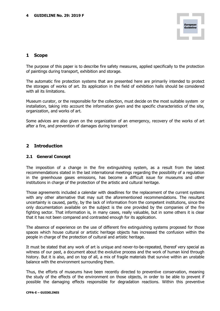

# **1 Scope**

The purpose of this paper is to describe fire safety measures, applied specifically to the protection of paintings during transport, exhibition and storage.

The automatic fire protection systems that are presented here are primarily intended to protect the storages of works of art. Its application in the field of exhibition halls should be considered with all its limitations.

Museum curator, or the responsible for the collection, must decide on the most suitable system or installation, taking into account the information given and the specific characteristics of the site, organization, and works of art.

Some advices are also given on the organization of an emergency, recovery of the works of art after a fire, and prevention of damages during transport

# **2 Introduction**

#### **2.1 General Concept**

The imposition of a change in the fire extinguishing system, as a result from the latest recommendations stated in the last international meetings regarding the possibility of a regulation in the greenhouse gases emissions, has become a difficult issue for museums and other institutions in charge of the protection of the artistic and cultural heritage.

Those agreements included a calendar with deadlines for the replacement of the current systems with any other alternative that may suit the aforementioned recommendations. The resultant uncertainty is caused, partly, by the lack of information from the competent institutions, since the only documentation available on the subject is the one provided by the companies of the fire fighting sector. That information is, in many cases, really valuable, but in some others it is clear that it has not been compared and contrasted enough for its application.

The absence of experience on the use of different fire extinguishing systems proposed for those spaces which house cultural or artistic heritage objects has increased the confusion within the people in charge of the protection of cultural and artistic heritage.

It must be stated that any work of art is unique and never-to-be-repeated, thereof very special as witness of our past, a document about the evolutive process and the work of human kind through history. But it is also, and on top of all, a mix of fragile materials that survive within an unstable balance with the environment surrounding them.

Thus, the efforts of museums have been recently directed to preventive conservation, meaning the study of the effects of the environment on those objects, in order to be able to prevent if possible the damaging effects responsible for degradation reactions. Within this preventive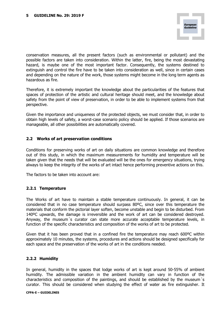conservation measures, all the present factors (such as environmental or pollutant) and the possible factors are taken into consideration. Within the latter, fire, being the most devastating hazard, is maybe one of the most important factor. Consequently, the systems destined to extinguish and control the fire have to be taken into consideration as well, since in certain cases and depending on the nature of the work, those systems might become in the long term agents as hazardous as fire.

Therefore, it is extremely important the knowledge about the particularities of the features that spaces of protection of the artistic and cultural heritage should meet, and the knowledge about safety from the point of view of preservation, in order to be able to implement systems from that perspective.

Given the importance and uniqueness of the protected objects, we must consider that, in order to obtain high levels of safety, a worst-case scenario policy should be applied. If those scenarios are manageable, all other possibilities are automatically covered.

# **2.2 Works of art preservation conditions**

Conditions for preserving works of art on daily situations are common knowledge and therefore out of this study, in which the maximum measurements for humidity and temperature will be taken given that the needs that will be evaluated will be the ones for emergency situations, trying always to keep the integrity of the works of art intact hence performing preventive actions on this.

The factors to be taken into account are:

#### **2.2.1 Temperature**

The Works of art have to maintain a stable temperature continuously. In general, it can be considered that in no case temperature should surpass 80ºC, since over this temperature the materials that conform the pictorial layer soften, become unstable and begin to be disturbed. From 140ºC upwards, the damage is irreversible and the work of art can be considered destroyed. Anyway, the museum´s curator can state more accurate acceptable temperature levels, in function of the specific characteristics and composition of the works of art to be protected.

Given that it has been proved that in a confined fire the temperature may reach 600ºC within approximately 10 minutes, the systems, procedures and actions should be designed specifically for each space and the preservation of the works of art in the conditions needed.

#### **2.2.2 Humidity**

In general, humidity in the spaces that lodge works of art is kept around 50-55% of ambient humidity. The admissible variation in the ambient humidity can vary in function of the characteristics and composition of the paintings, and should be established by the museum´s curator. This should be considered when studying the effect of water as fire extinguisher. It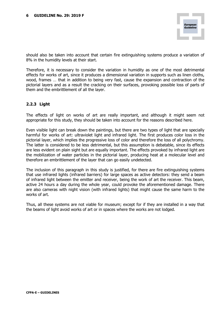should also be taken into account that certain fire extinguishing systems produce a variation of 8% in the humidity levels at their start.

Therefore, it is necessary to consider the variation in humidity as one of the most detrimental effects for works of art, since it produces a dimensional variation in supports such as linen cloths, wood, frames … that in addition to being very fast, cause the expansion and contraction of the pictorial layers and as a result the cracking on their surfaces, provoking possible loss of parts of them and the embrittlement of all the layer.

# **2.2.3 Light**

The effects of light on works of art are really important, and although it might seem not appropriate for this study, they should be taken into account for the reasons described here.

Even visible light can break down the paintings, but there are two types of light that are specially harmful for works of art: ultraviolet light and infrared light. The first produces color loss in the pictorial layer, which implies the progressive loss of color and therefore the loss of all polychromy. The latter is considered to be less detrimental, but this assumption is debatable, since its effects are less evident on plain sight but are equally important. The effects provoked by infrared light are the mobilization of water particles in the pictorial layer, producing heat at a molecular level and therefore an embrittlement of the layer that can go easily undetected.

The inclusion of this paragraph in this study is justified, for there are fire extinguishing systems that use infrared lights (infrared barriers) for large spaces as active detectors: they send a beam of infrared light between the emitter and receiver, being the work of art the receiver. This beam, active 24 hours a day during the whole year, could provoke the aforementioned damage. There are also cameras with night vision (with infrared lights) that might cause the same harm to the works of art.

Thus, all these systems are not viable for museum; except for if they are installed in a way that the beams of light avoid works of art or in spaces where the works are not lodged.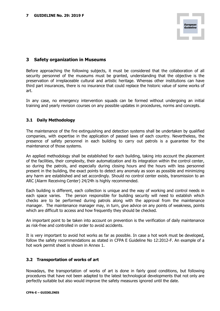# **3 Safety organization in Museums**

Before approaching the following subjects, it must be considered that the collaboration of all security personnel of the museums must be granted, understanding that the objective is the preservation of irreplaceable cultural and artistic heritage. Whereas other institutions can have third part insurances, there is no insurance that could replace the historic value of some works of art.

In any case, no emergency intervention squads can be formed without undergoing an initial training and yearly revision courses on any possible updates in procedures, norms and concepts.

### **3.1 Daily Methodology**

The maintenance of the fire extinguishing and detection systems shall be undertaken by qualified companies, with expertise in the application of passed laws of each country. Nevertheless, the presence of safety personnel in each building to carry out patrols is a guarantee for the maintenance of those systems.

An applied methodology shall be established for each building, taking into account the placement of the facilities, their complexity, their automatization and its integration within the control center, so during the patrols, and especially during closing hours and the hours with less personnel present in the building, the exact points to detect any anomaly as soon as possible and minimizing any harm are established and set accordingly. Should no control center exists, transmission to an ARC (Alarm Receiving Center) 24/24h is highly recommended.

Each building is different, each collection is unique and the way of working and control needs in each space varies. The person responsible for building security will need to establish which checks are to be performed during patrols along with the approval from the maintenance manager. The maintenance manager may, in turn, give advice on any points of weakness, points which are difficult to access and how frequently they should be checked.

An important point to be taken into account on prevention is the verification of daily maintenance as risk-free and controlled in order to avoid accidents.

It is very important to avoid hot works as far as possible. In case a hot work must be developed, follow the safety recommendations as stated in CFPA E Guideline No 12:2012-F. An example of a hot work permit sheet is shown in Annex 1.

#### **3.2 Transportation of works of art**

Nowadays, the transportation of works of art is done in fairly good conditions, but following procedures that have not been adapted to the latest technological developments that not only are perfectly suitable but also would improve the safety measures ignored until the date.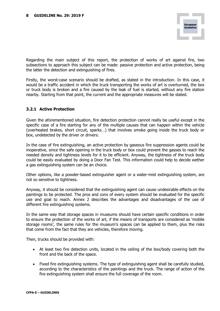Regarding the main subject of this report, the protection of works of art against fire, two subsections to approach this subject can be made: passive protection and active protection, being the latter the detection and extinguishing of fires.

Firstly, the worst-case scenario should be drafted, as stated in the introduction. In this case, it would be a traffic accident in which the truck transporting the works of art is overturned, the box or truck body is broken and a fire caused by the leak of fuel is started, without any fire station nearby. Starting from that point, the current and the appropriate measures will be stated.

# **3.2.1 Active Protection**

Given the aforementioned situation, fire detection protection cannot really be useful except in the specific case of a fire starting for any of the multiple causes that can happen within the vehicle (overheated brakes, short circuit, sparks…) that involves smoke going inside the truck body or box, undetected by the driver or drivers.

In the case of fire extinguishing, an active protection by gaseous fire suppression agents could be inoperative, since the safe opening in the truck body or box could prevent the gasses to reach the needed density and tightness levels for it to be efficient. Anyway, the tightness of the truck body could be easily evaluated by doing a Door Fan Test. This information could help to decide wether a gas extinguishing system can be an choice.

Other options, like a powder-based extinguisher agent or a water-mist extinguishing system, are not so sensitive to tightness.

Anyway, it should be considered that the extinguishing agent can cause undesirable effects on the paintings to be protected. The pros and cons of every system should be evaluated for the specific use and goal to reach. Annex 2 describes the advantages and disadvantages of the use of different fire extinguishing systems.

In the same way that storage spaces in museums should have certain specific conditions in order to ensure the protection of the works of art, if the means of transports are considered as 'mobile storage rooms', the same rules for the museum's spaces can be applied to them, plus the risks that come from the fact that they are vehicles, therefore moving.

Then, trucks should be provided with:

- At least two fire detection units, located in the ceiling of the box/body covering both the front and the back of the space.
- Fixed fire extinguishing systems. The type of extinguishing agent shall be carefully studied, according to the characteristics of the paintings and the truck. The range of action of the fire extinguishing system shall ensure the full coverage of the room.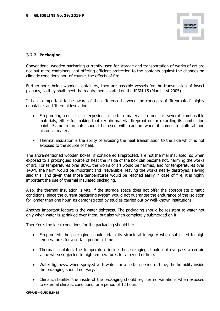### **3.2.2 Packaging**

Conventional wooden packaging currently used for storage and transportation of works of art are not but mere containers, not offering efficient protection to the contents against the changes on climatic conditions nor, of course, the effects of fire.

Furthermore, being wooden containers, they are possible vessels for the transmission of insect plagues, so they shall meet the requirements stated on the IPSM-15 (March 1st 2005).

It is also important to be aware of the difference between the concepts of 'fireproofed', highly debatable, and 'thermal insulation':

- Fireproofing consists in exposing a certain material to one or several combustible materials, either for making that certain material fireproof or for retarding its combustion point. Flame retardants should be used with caution when it comes to cultural and historical material.
- Thermal insulation is the ability of avoiding the heat transmission to the side which is not exposed to the source of heat.

The aforementioned wooden boxes, if considered fireproofed, are not thermal insulated, so when exposed to a prolongued source of heat the inside of the box can become hot, harming the works of art. For temperatures over 80ºC, the works of art would be harmed, and for temperatures over 140ºC the harm would be important and irreversible, leaving the works nearly destroyed. Having said this, and given that those temperatures would be reached easily in case of fire, it is highly important the use of thermal insulated packaging.

Also, the thermal insulation is vital if the storage space does not offer the appropriate climatic conditions, since the current packaging system would not guarantee the endurance of the isolation for longer than one hour, as demonstrated by studies carried out by well-known institutions.

Another important feature is the water tightness. The packaging should be resistant to water not only when water is sprinkled over them, but also when completely submerged on it.

Therefore, the ideal conditions for the packaging should be:

- Fireproofed: the packaging should retain its structural integrity when subjected to high temperatures for a certain period of time.
- Thermal insulated: the temperature inside the packaging should not overpass a certain value when subjected to high temperatures for a period of time.
- Water tighness: when sprayed with water for a certain period of time, the humidity inside the packaging should not vary.
- Climatic stability: the inside of the packaging should register no variations when exposed to external climatic conditions for a period of 12 hours.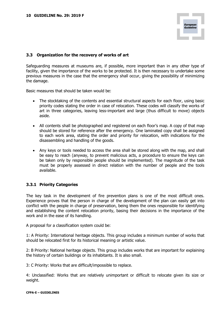# **3.3 Organization for the recovery of works of art**

Safeguarding measures at museums are, if possible, more important than in any other type of facility, given the importance of the works to be protected. It is then necessary to undertake some previous measures in the case that the emergency shall occur, giving the possibility of minimizing the damage.

Basic measures that should be taken would be:

- The stocktaking of the contents and essential structural aspects for each floor, using basic priority codes stating the order in case of relocation. These codes will classify the works of art in three categories, leaving less-important and large (thus difficult to move) objects aside.
- All contents shall be photographed and registered on each floor's map. A copy of that map should be stored for reference after the emergency. One laminated copy shall be assigned to each work area, stating the order and priority for relocation, with indications for the disassembling and handling of the goods.
- Any keys or tools needed to access the area shall be stored along with the map, and shall be easy to reach (anyway, to prevent malicious acts, a procedure to ensure the keys can be taken only by responsible people should be implemented). The magnitude of the task must be properly assessed in direct relation with the number of people and the tools available.

# **3.3.1 Priority Categories**

The key task in the development of fire prevention plans is one of the most difficult ones. Experience proves that the person in charge of the development of the plan can easily get into conflict with the people in charge of preservation, being them the ones responsible for identifying and establishing the content relocation priority, basing their decisions in the importance of the work and in the ease of its handling.

A proposal for a classification system could be:

1: A Priority: International heritage objects. This group includes a minimum number of works that should be relocated first for its historical meaning or artistic value.

2: B Priority: National heritage objects. This group includes works that are important for explaining the history of certain buildings or its inhabitants. It is also small.

3: C Priority: Works that are difficult/impossible to replace.

4: Unclassified: Works that are relatively unimportant or difficult to relocate given its size or weight.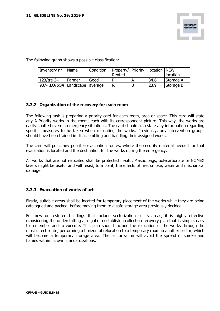The following graph shows a possible classification:

| Inventory nr                      | I Name   | <b>Condition</b> | Property/ Priority   location   NEW |      |           |
|-----------------------------------|----------|------------------|-------------------------------------|------|-----------|
|                                   |          |                  | Rented                              |      | location  |
| 123/tre-34                        | I Farmer | Good             |                                     | 34.6 | Storage A |
| 987-KLO/pQ4   Landscape   average |          |                  |                                     | 23.9 | Storage B |

# **3.3.2 Organization of the recovery for each room**

The following task is preparing a priority card for each room, area or space. This card will state any A Priority works in the room, each with its correspondent picture. This way, the works are easily spotted even in emergency situations. The card should also state any information regarding specific measures to be taken when relocating the works. Previously, any intervention groups should have been trained in disassembling and handling their assigned works.

The card will point any possible evacuation routes, where the security material needed for that evacuation is located and the destination for the works during the emergency.

All works that are not relocated shall be protected in-situ. Plastic bags, polycarbonate or NOMEX layers might be useful and will resist, to a point, the effects of fire, smoke, water and mechanical damage.

#### **3.3.3 Evacuation of works of art**

Firstly, suitable areas shall be located for temporary placement of the works while they are being catalogued and packed, before moving them to a safe storage area previously decided.

For new or restored buildings that include sectorization of its areas, it is highly effective (considering the understaffing at night) to establish a collection recovery plan that is simple, easy to remember and to execute. This plan should include the relocation of the works through the most direct route, performing a horizontal relocation to a temporary room in another sector, which will become a temporary storage area. The sectorization will avoid the spread of smoke and flames within its own standardizations.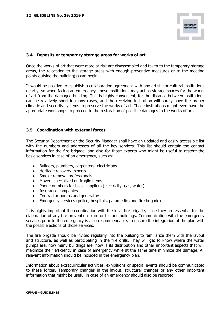

### **3.4 Deposits or temporary storage areas for works of art**

Once the works of art that were more at risk are disassembled and taken to the temporary storage areas, the relocation to the storage areas with enough preventive measures or to the meeting points outside the building(s) can begin.

It would be positive to establish a collaboration agreement with any artistic or cultural institutions nearby, so when facing an emergency, those institutions may act as storage spaces for the works of art from the damaged building. This is highly convenient, for the distance between institutions can be relatively short in many cases, and the receiving institution will surely have the proper climatic and security systems to preserve the works of art. Those institutions might even have the appropriate workshops to proceed to the restoration of possible damages to the works of art.

#### **3.5 Coordination with external forces**

The Security Department or the Security Manager shall have an updated and easily accessible list with the numbers and addresses of all the key services. This list should contain the contact information for the fire brigade, and also for those experts who might be useful to restore the basic services in case of an emergency, such as:

- Builders, plumbers, carpenters, electricians …
- Heritage recovery experts
- Smoke removal professionals
- Movers specialized on fragile items
- Phone numbers for basic suppliers (electricity, gas, water)
- Insurance companies
- Contractor pumps and generators
- Emergency services (police, hospitals, paramedics and fire brigade)

Is is highly important the coordination with the local fire brigade, since they are essential for the elaboration of any fire prevention plan for historic buildings. Communication with the emergency services prior to the emergency is also recommendable, to ensure the integration of the plan with the possible actions of those services.

The fire brigade should be invited regularly into the building to familiarize them with the layout and structure, as well as participating in the fire drills. They will get to know where the water pumps are, how many buildings are, how is its distribution and other important aspects that will maximize their efficiency in case of emergency while at the same time minimize the damage. All relevant information should be included in the emergency plan.

Information about extracurricular activities, exhibitions or special events should be communicated to these forces. Temporary changes in the layout, structural changes or any other important information that might be useful in case of an emergency should also be reported.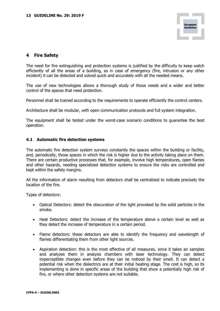# **4 Fire Safety**

The need for fire extinguishing and protection systems is justified by the difficulty to keep watch efficiently of all the areas of a building, so in case of emergency (fire, intrusion or any other incident) it can be detected and solved quick and accurately with all the needed means.

The use of new technologies allows a thorough study of those needs and a wider and better control of the spaces that need protection.

Personnel shall be trained according to the requirements to operate efficiently the control centers.

Architecture shall be modular, with open communication protocols and full system integration.

The equipment shall be tested under the worst-case scenario conditions to guarantee the best operation.

#### **4.1 Automatic fire detection systems**

The automatic fire detection system surveys constantly the spaces within the building or facility, and, periodically, those spaces in which the risk is higher due to the activity taking place on them. There are certain productive processes that, for example, involve high temperatures, open flames and other hazards, needing specialized detection systems to ensure the risks are controlled and kept within the safety margins.

All the information of alarm resulting from detectors shall be centralized to indicate precisely the location of the fire.

Types of detectors:

- Optical Detectors: detect the obscuration of the light provoked by the solid particles in the smoke.
- Heat Detectors: detect the increase of the temperature above a certain level as well as they detect the increase of temperature in a certain period.
- Flame detectors: these detectors are able to identify the frequency and wavelength of flames differentiating them from other light sources.
- Aspiration detection: this is the most effective of all measures, since it takes air samples and analyzes them in analysis chambers with laser technology. They can detect imperceptible changes even before they can be noticed by their smell. It can detect a potential risk when the dielectrics are at their initial heating stage. The cost is high, so its implementing is done in specific areas of the building that show a potentially high risk of fire, or where other detection systems are not suitable.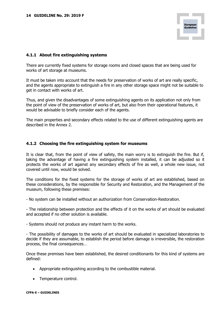

### **4.1.1 About fire extinguishing systems**

There are currently fixed systems for storage rooms and closed spaces that are being used for works of art storage at museums.

It must be taken into account that the needs for preservation of works of art are really specific, and the agents appropriate to extinguish a fire in any other storage space might not be suitable to get in contact with works of art.

Thus, and given the disadvantages of some extinguishing agents on its application not only from the point of view of the preservation of works of art, but also from their operational features, it would be advisable to briefly consider each of the agents.

The main properties and secondary effects related to the use of different extinguishing agents are described in the Annex 2.

#### **4.1.2 Choosing the fire extinguishing system for museums**

It is clear that, from the point of view of safety, the main worry is to extinguish the fire. But if, taking the advantage of having a fire extinguishing system installed, it can be adjusted so it protects the works of art against any secondary effects of fire as well, a whole new issue, not covered until now, would be solved.

The conditions for the fixed systems for the storage of works of art are established, based on these considerations, by the responsible for Security and Restoration, and the Management of the museum, following these premises:

- No system can be installed without an authorization from Conservation-Restoration.

- The relationship between protection and the effects of it on the works of art should be evaluated and accepted if no other solution is available.

- Systems should not produce any instant harm to the works.

- The possibility of damages to the works of art should be evaluated in specialized laboratories to decide if they are assumable, to establish the period before damage is irreversible, the restoration process, the final consequences…

Once these premises have been established, the desired conditionants for this kind of systems are defined:

- Appropriate extinguishing according to the combustible material.
- Temperature control.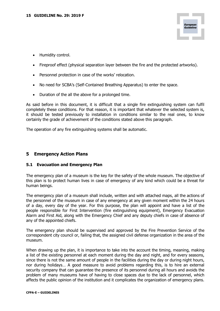- Humidity control.
- Fireproof effect (physical separation layer between the fire and the protected artworks).
- Personnel protection in case of the works' relocation.
- No need for SCBA's (Self-Contained Breathing Apparatus) to enter the space.
- Duration of the all the above for a prolonged time.

As said before in this document, it is difficult that a single fire extinguishing system can fulfil completely these conditions. For that reason, it is important that whatever the selected system is, it should be tested previously to installation in conditions similar to the real ones, to know certainly the grade of achievement of the conditions stated above this paragraph.

The operation of any fire extinguishing systems shall be automatic.

# **5 Emergency Action Plans**

# **5.1 Evacuation and Emergency Plan**

The emergency plan of a museum is the key for the safety of the whole museum. The objective of this plan is to protect human lives in case of emergency of any kind which could be a threat for human beings.

The emergency plan of a museum shall include, written and with attached maps, all the actions of the personnel of the museum in case of any emergency at any given moment within the 24 hours of a day, every day of the year. For this purpose, the plan will appoint and have a list of the people responsible for First Intervention (fire extinguishing equipment), Emergency Evacuation Alarm and First Aid, along with the Emergency Chief and any deputy chiefs in case of absence of any of the appointed chiefs.

The emergency plan should be supervised and approved by the Fire Prevention Service of the correspondent city council or, failing that, the assigned civil defense organization in the area of the museum.

When drawing up the plan, it is importance to take into the account the timing, meaning, making a list of the existing personnel at each moment during the day and night, and for every seasons, since there is not the same amount of people in the facilities during the day or during night hours, nor during holidays… A good measure to avoid problems regarding this, is to hire an external security company that can guarantee the presence of its personnel during all hours and avoids the problem of many museums have of having to close spaces due to the lack of personnel, which affects the public opinion of the institution and it complicates the organization of emergency plans.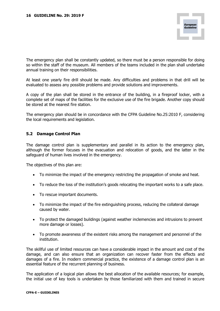The emergency plan shall be constantly updated, so there must be a person responsible for doing so within the staff of the museum. All members of the teams included in the plan shall undertake annual training on their responsibilities.

At least one yearly fire drill should be made. Any difficulties and problems in that drill will be evaluated to assess any possible problems and provide solutions and improvements.

A copy of the plan shall be stored in the entrance of the building, in a fireproof locker, with a complete set of maps of the facilities for the exclusive use of the fire brigade. Another copy should be stored at the nearest fire station.

The emergency plan should be in concordance with the CFPA Guideline No.25:2010 F, considering the local requirements and legislation.

# **5.2 Damage Control Plan**

The damage control plan is supplementary and parallel in its action to the emergency plan, although the former focuses in the evacuation and relocation of goods, and the latter in the safeguard of human lives involved in the emergency.

The objectives of this plan are:

- To minimize the impact of the emergency restricting the propagation of smoke and heat.
- To reduce the loss of the institution's goods relocating the important works to a safe place.
- To rescue important documents.
- To minimize the impact of the fire extinguishing process, reducing the collateral damage caused by water.
- To protect the damaged buildings (against weather inclemencies and intrusions to prevent more damage or losses).
- To promote awareness of the existent risks among the management and personnel of the institution.

The skillful use of limited resources can have a considerable impact in the amount and cost of the damage, and can also ensure that an organization can recover faster from the effects and damages of a fire. In modern commercial practice, the existence of a damage control plan is an essential feature of the recurrent planning of business.

The application of a logical plan allows the best allocation of the available resources; for example, the initial use of key tools is undertaken by those familiarized with them and trained in secure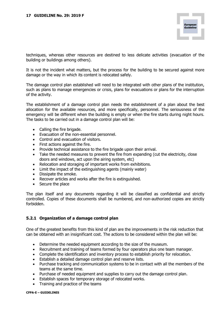techniques, whereas other resources are destined to less delicate activities (evacuation of the building or buildings among others).

It is not the incident what matters, but the process for the building to be secured against more damage or the way in which its content is relocated safely.

The damage control plan established will need to be integrated with other plans of the institution, such as plans to manage emergencies or crisis, plans for evacuations or plans for the interruption of the activity.

The establishment of a damage control plan needs the establishment of a plan about the best allocation for the available resources, and more specifically, personnel. The seriousness of the emergency will be different when the building is empty or when the fire starts during night hours. The tasks to be carried out in a damage control plan will be:

- Calling the fire brigade.
- Evacuation of the non-essential personnel.
- Control and evacuation of visitors.
- First actions against the fire.
- Provide technical assistance to the fire brigade upon their arrival.
- Take the needed measures to prevent the fire from expanding (cut the electricity, close doors and windows, act upon the airing system, etc)
- Relocation and storaging of important works from exhibitions.
- Limit the impact of the extinguishing agents (mainly water)
- Dissipate the smoke.
- Recover articles and works after the fire is extinguished.
- Secure the place

The plan itself and any documents regarding it will be classified as confidential and strictly controlled. Copies of these documents shall be numbered, and non-authorized copies are strictly forbidden.

# **5.2.1 Organization of a damage control plan**

One of the greatest benefits from this kind of plan are the improvements in the risk reduction that can be obtained with an insignificant cost. The actions to be considered within the plan will be:

- Determine the needed equipment according to the size of the museum.
- Recruitment and training of teams formed by four operators plus one team manager.
- Complete the identification and inventory process to establish priority for relocation.
- Establish a detailed damage control plan and reserve lists.
- Purchase tracking and communication systems to be in contact with all the members of the teams at the same time.
- Purchase of needed equipment and supplies to carry out the damage control plan.
- Establish spaces for temporary storage of relocated works.
- Training and practice of the teams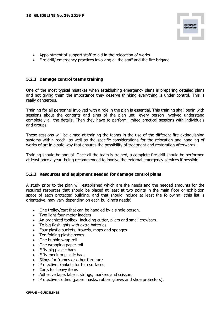

- Appointment of support staff to aid in the relocation of works.
- Fire drill/ emergency practices involving all the staff and the fire brigade.

### **5.2.2 Damage control teams training**

One of the most typical mistakes when establishing emergency plans is preparing detailed plans and not giving them the importance they deserve thinking everything is under control. This is really dangerous.

Training for all personnel involved with a role in the plan is essential. This training shall begin with sessions about the contents and aims of the plan until every person involved understand completely all the details. Then they have to perform limited practical sessions with individuals and groups.

These sessions will be aimed at training the teams in the use of the different fire extinguishing systems within reach, as well as the specific considerations for the relocation and handling of works of art in a safe way that ensures the possibility of treatment and restoration afterwards.

Training should be annual. Once all the team is trained, a complete fire drill should be performed at least once a year, being recommended to involve the external emergency services if possible.

#### **5.2.3 Resources and equipment needed for damage control plans**

A study prior to the plan will established which are the needs and the needed amounts for the required resources that should be placed at least at two points in the main floor or exhibition space of each protected building, and that should include at least the following: (this list is orientative, may vary depending on each building's needs)

- One trolley/cart that can be handled by a single person.
- Two light four-meter ladders
- An organized toolbox, including cutter, pliers and small crowbars.
- To big flashlights with extra batteries.
- Four plastic buckets, trowels, mops and sponges.
- Ten folding plastic boxes.
- One bubble wrap roll
- One wrapping paper roll
- Fifty big plastic bags
- Fifty medium plastic bags
- Slings for frames or other furniture
- Protective blankets for thin surfaces
- Carts for heavy items
- Adhesive tape, labels, strings, markers and scissors.
- Protective clothes (paper masks, rubber gloves and shoe protectors).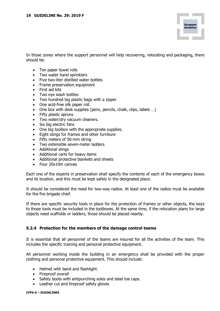In those zones where the support personnel will help recovering, relocating and packaging, there should be:

- Ten paper towel rolls
- Two water hand sprinklers
- Five two-liter distilled water bottles
- Frame preservation equipment
- First aid kits
- Two eye wash bottles
- Two hundred big plastic bags with a zipper
- One acid-free silk paper roll.
- One box with desk supplies (pens, pencils, chalk, clips, labels ...)
- Fifty plastic aprons
- Two water/dry vacuum cleaners.
- Six big electric fans
- One big toolbox with the appropriate supplies.
- Eight slings for frames and other furniture
- Fifty meters of 50-mm string
- Two extensible seven-meter ladders
- Additional slings
- Additional carts for heavy items
- Additional protective blankets and sheets
- Four 20x10m canvas

Each one of the experts in preservation shall specify the contents of each of the emergency boxes and its location, and this must be kept safely in the designated place.

It should be considered the need for two-way radios. At least one of the radios must be available for the fire brigade chief.

If there are specific security tools in place for the protection of frames or other objects, the keys to those tools must be included in the toolboxes. At the same time, if the relocation plans for large objects need scaffolds or ladders, those should be placed nearby.

# **5.2.4 Protection for the members of the damage control teams**

It is essential that all personnel of the teams are insured for all the activities of the team. This includes the specific training and personal protective equipment.

All personnel working inside the building in an emergency shall be provided with the proper clothing and personal protective equipment. This should include:

- Helmet with band and flashlight.
- Fireproof overall
- Safety boots with antipunching soles and steel toe caps.
- Leather cut and fireproof safety gloves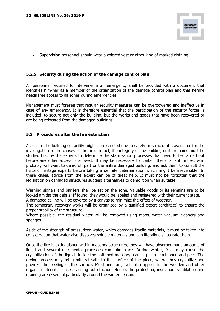

• Supervision personnel should wear a colored vest or other kind of marked clothing.

### **5.2.5 Security during the action of the damage control plan**

All personnel required to intervene in an emergency shall be provided with a document that identifies him/her as a member of the organization of the damage control plan and that he/she needs free access to all zones during emergencies.

Management must foresee that regular security measures can be overpowered and ineffective in case of any emergency. It is therefore essential that the participation of the security forces is included, to secure not only the building, but the works and goods that have been recovered or are being relocated from the damaged buildings.

#### **5.3 Procedures after the fire extinction**

Access to the building or facility might be restricted due to safety or structural reasons, or for the investigation of the causes of the fire. In fact, the integrity of the building or its remains must be studied first by the experts to determine the stabilization processes that need to be carried out before any other access is allowed. It may be necessary to contact the local authorities, who probably will want to demolish part or the entire damaged building, and ask them to consult the historic heritage experts before taking a definite determination which might be irreversible. In these cases, advice from the expert can be of great help. It must not be forgotten that the legislation on damaged structures suggest alternatives to demolition when suitable.

Warning signals and barriers shall be set on the zone. Valuable goods or its remains are to be looked amidst the debris. If found, they would be labeled and registered with their current state.

A damaged ceiling will be covered by a canvas to minimize the effect of weather.

The temporary recovery works will be organized by a qualified expert (architect) to ensure the proper stability of the structure.

Where possible, the residual water will be removed using mops, water vacuum cleaners and sponges.

Aside of the strength of pressurized water, which damages fragile materials, it must be taken into consideration that water also dissolves soluble materials and can literally disintegrate them.

Once the fire is extinguished within masonry structures, they will have absorbed huge amounts of liquid and several detrimental processes can take place. During winter, frost may cause the crystallization of the liquids inside the softened masonry, causing it to crack open and peel. The drying process may bring mineral salts to the surface of the piece, where they crystallize and provoke the peeling of the surface. Mold and fungi will also appear in the wooden and other organic material surfaces causing putrefaction. Hence, the protection, insulation, ventilation and draining are essential particularly around the winter season.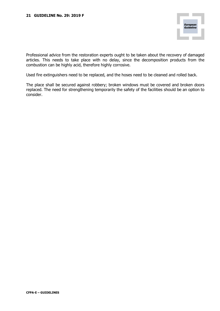Professional advice from the restoration experts ought to be taken about the recovery of damaged articles. This needs to take place with no delay, since the decomposition products from the combustion can be highly acid, therefore highly corrosive.

Used fire extinguishers need to be replaced, and the hoses need to be cleaned and rolled back.

The place shall be secured against robbery; broken windows must be covered and broken doors replaced. The need for strengthening temporarily the safety of the facilities should be an option to consider.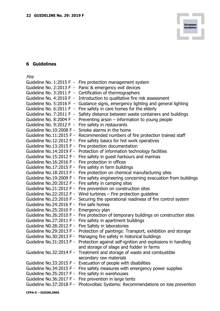# **6 Guidelines**

Fire

| Guideline No. 1:2015 F - | Fire protection management system                            |
|--------------------------|--------------------------------------------------------------|
| Guideline No. 2:2013 F - | Panic & emergency exit devices                               |
| Guideline No. 3:2011 F - | Certification of thermographers                              |
| Guideline No. 4:2010 F - | Introduction to qualitative fire risk assessment             |
| Guideline No. 5:2016 F - | Guidance signs, emergency lighting and general lighting      |
| Guideline No. 6:2011 F - | Fire safety in care homes for the elderly                    |
| Guideline No. 7:2011 F - | Safety distance between waste containers and buildings       |
| Guideline No. 8:2004 F - | Preventing arson – information to young people               |
| Guideline No. 9:2012 F - | Fire safety in restaurants                                   |
| Guideline No.10:2008 F - | Smoke alarms in the home                                     |
| Guideline No.11:2015 F - | Recommended numbers of fire protection trained staff         |
| Guideline No.12:2012 F - | Fire safety basics for hot work operatives                   |
| Guideline No.13:2015 F - | Fire protection documentation                                |
| Guideline No.14:2019 F - | Protection of information technology facilities              |
| Guideline No.15:2012 F - | Fire safety in guest harbours and marinas                    |
| Guideline No.16:2016 F - | Fire protection in offices                                   |
| Guideline No.17:2015 F - | Fire safety in farm buildings                                |
| Guideline No.18:2013 F - | Fire protection on chemical manufacturing sites              |
| Guideline No.19:2009 F - | Fire safety engineering concerning evacuation from buildings |
| Guideline No.20:2012 F - | Fire safety in camping sites                                 |
| Guideline No.21:2012 F - | Fire prevention on construction sites                        |
| Guideline No.22:2012 F - | Wind turbines - Fire protection guideline                    |
| Guideline No.23:2010 F - | Securing the operational readiness of fire control system    |
| Guideline No.24:2016 F - | Fire safe homes                                              |
| Guideline No.25:2010 F - | Emergency plan                                               |
| Guideline No.26:2010 F - | Fire protection of temporary buildings on construction sites |
| Guideline No.27:2011 F - | Fire safety in apartment buildings                           |
| Guideline N0.28:2012 F - | Fire Safety in laboratories                                  |
| Guideline No.29:2013 F - | Protection of paintings: Transport, exhibition and storage   |
| Guideline No.30:2013 F - | Managing fire safety in historical buildings                 |
| Guideline No.31:2013 F - | Protection against self-ignition and explosions in handling  |
|                          | and storage of silage and fodder in farms                    |
| Guideline No.32:2014 F - | Treatment and storage of waste and combustible               |
|                          | secondary raw materials                                      |
| Guideline No.33:2015 F - | Evacuation of people with disabilities                       |
| Guideline No.34:2015 F - | Fire safety measures with emergency power supplies           |
| Guideline No.35:2017 F - | Fire safety in warehouses                                    |
| Guideline No.36:2017 F - | Fire prevention in large tents                               |
| Guideline No.37:2018 F - | Photovoltaic Systems: Recommendations on loss prevention     |

П

European<br>Guideline

**CFPA-E – GUIDELINES**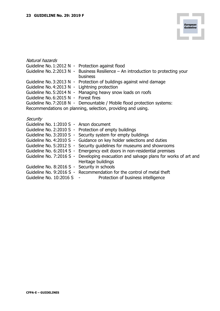| Natural hazards                                   |                                                                                   |
|---------------------------------------------------|-----------------------------------------------------------------------------------|
| Guideline No. 1:2012 N - Protection against flood |                                                                                   |
|                                                   | Guideline No. 2:2013 N - Business Resilience - An introduction to protecting your |
|                                                   | business                                                                          |
|                                                   | Guideline No. 3:2013 N - Protection of buildings against wind damage              |
| Guideline No. 4:2013 N - Lightning protection     |                                                                                   |
|                                                   | Guideline No. 5:2014 N - Managing heavy snow loads on roofs                       |
| Guideline No. 6:2015 N - Forest fires             |                                                                                   |
|                                                   | Guideline No. 7:2018 N - Demountable / Mobile flood protection systems:           |
|                                                   | Recommendations on planning, selection, providing and using.                      |
| Security                                          |                                                                                   |
| Guideline No. $1:2010S -$ Arson document          |                                                                                   |

п

European<br>Guideline

| Guideline No. 1:2010 S - Arson document      |                                                                                                             |
|----------------------------------------------|-------------------------------------------------------------------------------------------------------------|
|                                              | Guideline No. 2:2010 S - Protection of empty buildings                                                      |
|                                              | Guideline No. 3:2010 S - Security system for empty buildings                                                |
|                                              | Guideline No. 4:2010 S - Guidance on key holder selections and duties                                       |
|                                              | Guideline No. 5:2012 S - Security guidelines for museums and showrooms                                      |
|                                              | Guideline No. 6:2014 S - Emergency exit doors in non-residential premises                                   |
|                                              | Guideline No. 7:2016 S - Developing evacuation and salvage plans for works of art and<br>Heritage buildings |
| Guideline No. 8:2016 S - Security in schools |                                                                                                             |
|                                              | Guideline No. 9:2016 S - Recommendation for the control of metal theft                                      |
| Guideline No. 10:2016 S -                    | Protection of business intelligence                                                                         |
|                                              |                                                                                                             |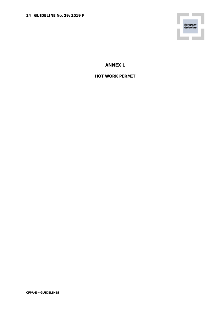П European<br>Guideline

**ANNEX 1**

**HOT WORK PERMIT**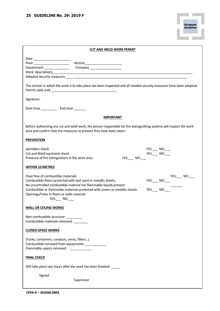| <b>CUT AND WELD WORK PERMIT</b>                                                                                                                                                                                                                                                                                         |                                                    |  |  |
|-------------------------------------------------------------------------------------------------------------------------------------------------------------------------------------------------------------------------------------------------------------------------------------------------------------------------|----------------------------------------------------|--|--|
|                                                                                                                                                                                                                                                                                                                         |                                                    |  |  |
| The section in which the work is to take place has been inspected and all needed security measures have been adopted.                                                                                                                                                                                                   |                                                    |  |  |
| Signature:                                                                                                                                                                                                                                                                                                              |                                                    |  |  |
| <b>IMPORTANT</b>                                                                                                                                                                                                                                                                                                        |                                                    |  |  |
| Before authorizing any cut and weld work, the person responsible for fire extinguishing systems will inspect the work<br>area and confirm that the measures to prevent fires have been taken:                                                                                                                           |                                                    |  |  |
| <b>PREVENTION</b>                                                                                                                                                                                                                                                                                                       |                                                    |  |  |
| Sprinklers check:<br>Cut and Weld equiment check:<br>Presence of fire extinguishers in the work area:<br>$YES:$ NO: $\qquad$                                                                                                                                                                                            | YES:___ NO:___<br>YES:____ NO:___                  |  |  |
| <b>WITHIN 10 METRES</b>                                                                                                                                                                                                                                                                                                 |                                                    |  |  |
| Floor free of combustible materials:<br>Combustible floors protected with wet sand or metallic sheets;<br>No uncontrolled combustible material nor flammable liquids present:<br>Combustible or flammable materials protected with covers or metallic sheets:<br>Openings/holes in floors or walls covered:<br>YES: NO: | YES:_____ NO:____<br>YES:____ NO:___<br>$YES:$ NO: |  |  |
| <b>WALL OR CEILING WORKS</b>                                                                                                                                                                                                                                                                                            |                                                    |  |  |
| Non-combustible structure: _________<br>Combustible materials removed:                                                                                                                                                                                                                                                  |                                                    |  |  |
| <b>CLOSED SPACE WORKS</b>                                                                                                                                                                                                                                                                                               |                                                    |  |  |
| (Tanks, containers, conducts, vents, filters)<br>Combustible removed from equipments:<br>Flammable vapors removed:                                                                                                                                                                                                      |                                                    |  |  |
| <b>FINAL CHECK</b>                                                                                                                                                                                                                                                                                                      |                                                    |  |  |
| Will take place two hours after the work has been finished: _____                                                                                                                                                                                                                                                       |                                                    |  |  |
| Signed:<br>Supervisor                                                                                                                                                                                                                                                                                                   |                                                    |  |  |

П

European<br>Guideline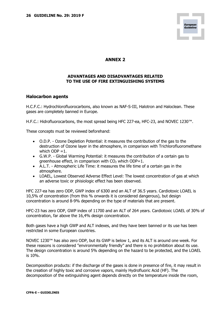

# **ANNEX 2**

### **ADVANTAGES AND DISADVANTAGES RELATED TO THE USE OF FIRE EXTINGUISHING SYSTEMS**

#### **Halocarbon agents**

H.C.F.C.: Hydrochlorofluorocarbons, also known as NAF-S-III, Halotron and Haloclean. These gases are completely banned in Europe.

H.F.C.: Hidrofluorocarbons, the most spread being HFC 227-ea, HFC-23, and NOVEC 1230™.

These concepts must be reviewed beforehand:

- O.D.P. Ozone Depletion Potential: it measures the contribution of the gas to the destruction of Ozone layer in the atmosphere, in comparison with Trichlorofluoromethane which  $ODP = 1$ .
- G.W.P. Global Warming Potential: it measures the contribution of a certain gas to greenhouse effect, in comparison with  $CO<sub>2</sub>$  which  $ODP=1$ .
- A.L.T. Atmospheric Life Time: it measures the life time of a certain gas in the atmosphere.
- LOAEL, Lowest Observed Adverse Effect Level: The lowest concentration of gas at which an adverse toxic or phisiologic effect has been observed.

HFC 227-ea has zero ODP, GWP index of 6300 and an ALT of 36.5 years. Cardiotoxic LOAEL is 10,5% of concentration (from this % onwards it is considered dangerous), but design concentration is around 8-9% depending on the type of materials that are present.

HFC-23 has zero ODP, GWP index of 11700 and an ALT of 264 years. Cardiotoxic LOAEL of 30% of concentration, far above the 16,4% design concentration.

Both gases have a high GWP and ALT indexes, and they have been banned or its use has been restricted in some European countries.

NOVEC 1230<sup>™</sup> has also zero ODP, but its GWP is below 1, and its ALT is around one week. For these reasons is considered "environmentally friendly" and there is no prohibition about its use. The design concentration is around 5% depending on the hazard to be protected, and the LOAEL is 10%.

Decomposition products: if the discharge of the gases is done in presence of fire, it may result in the creation of highly toxic and corrosive vapors, mainly Hydrofluoric Acid (HF). The decomposition of the extinguishing agent depends directly on the temperature inside the room,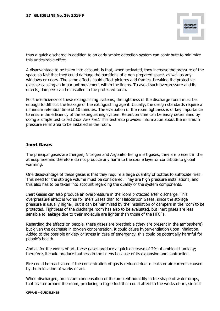thus a quick discharge in addition to an early smoke detection system can contribute to minimize this undesirable effect.

A disadvantage to be taken into account, is that, when activated, they increase the pressure of the space so fast that they could damage the partitions of a non-prepared space, as well as any windows or doors. The same effects could affect pictures and frames, breaking the protective glass or causing an important movement within the linens. To avoid such overpressure and its effects, dampers can be installed in the protected room.

For the efficiency of these extinguishing systems, the tightness of the discharge room must be enough to difficult the leakage of the extinguishing agent. Usually, the design standards require a minimum retention time of 10 minutes. The evaluation of the room tightness is of key importance to ensure the efficiency of the extinguishing system. Retention time can be easily determined by doing a simple test called *Door Fan Test*. This test also provides information about the minimum pressure relief area to be installed in the room.

### **Inert Gases**

The principal gases are Inergen, Nitrogen and Argonite. Being inert gases, they are present in the atmosphere and therefore do not produce any harm to the ozone layer or contribute to global warming.

One disadvantage of these gases is that they require a large quantity of bottles to suffocate fires. This need for the storage volume must be considered. They are high pressure installations, and this also has to be taken into account regarding the quality of the system components.

Inert Gases can also produce an overpressure in the room protected after discharge. This overpressure effect is worse for Inert Gases than for Halocarbon Gases, since the storage pressure is usually higher, but it can be minimized by the installation of dampers in the room to be protected. Tightness of the discharge room has also to be evaluated, but inert gases are less sensible to leakage due to their molecule are lighter than those of the HFC´s.

Regarding the effects on people, these gases are breathable (they are present in the atmosphere) but given the decrease in oxygen concentration, it could cause hyperventilation upon inhalation. Added to the possible anxiety or stress in case of emergency, this could be potentially harmful for people's health.

And as for the works of art, these gases produce a quick decrease of 7% of ambient humidity; therefore, it could produce tautness in the linens because of its expansion and contraction.

Fire could be reactivated if the concentration of gas is reduced due to leaks or air currents caused by the relocation of works of art.

When discharged, an instant condensation of the ambient humidity in the shape of water drops, that scatter around the room, producing a fog-effect that could affect to the works of art, since if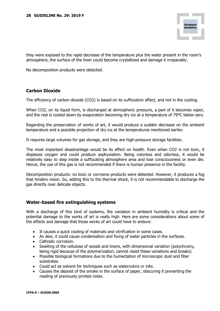they were exposed to the rapid decrease of the temperature plus the water present in the room's atmosphere, the surface of the linen could become crystallized and damage it irreparably.

No decomposition products were detected.

# **Carbon Dioxide**

The efficiency of carbon dioxide (CO2) is based on its suffocation effect, and not in the cooling.

When CO2, on its liquid form, is discharged at atmospheric pressure, a part of it becomes vapor, and the rest is cooled down by evaporation becoming dry ice at a temperature of 79ºC below zero.

Regarding the preservation of works of art, it would produce a sudden decrease on the ambient temperature and a possible projection of dry ice at the temperatures mentioned earlier.

It requires large volumes for gas storage, and they are high-pressure storage facilities.

The most important disadvantage would be its effect on health. Even when CO2 is not toxic, it displaces oxygen and could produce asphyxiation. Being colorless and odorless, it would be relatively easy to step inside a suffocating atmosphere area and lose consciousness or even die. Hence, the use of this gas is not recommended if there is human presence in the facility.

Decomposition products: no toxic or corrosive products were detected. However, it produces a fog that hinders vision. So, adding this to the thermal shock, it is not recommendable to discharge the gas directly over delicate objects.

# **Water-based fire extinguishing systems**

With a discharge of this kind of systems, the variation in ambient humidity is critical and the potential damage to the works of art is really high. Here are some considerations about some of the effects and damage that those works of art could have to endure:

- It causes a quick cooling of materials and vitrification in some cases.
- As dew, it could cause condensation and fixing of water particles in the surfaces.
- Cathodic corrosion.
- Swelling of the cellulose of woods and linens, with dimensional variation (polychromy, being rigid because of the polymerization, cannot resist these variations and breaks)
- Possible biological formations due to the humectation of microscopic dust and fiber substrates.
- Could act as solvent for techniques such as watercolors or inks.
- Causes the deposit of the smoke in the surface of paper, obscuring it preventing the reading of previously printed notes.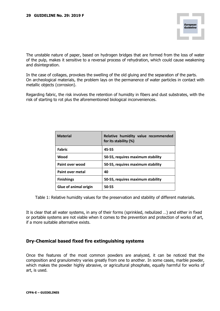The unstable nature of paper, based on hydrogen bridges that are formed from the loss of water of the pulp, makes it sensitive to a reversal process of rehydration, which could cause weakening and disintegration.

In the case of collages, provokes the swelling of the old gluing and the separation of the parts. On archeological materials, the problem lays on the permanence of water particles in contact with metallic objects (corrosion).

Regarding fabric, the risk involves the retention of humidity in fibers and dust substrates, with the risk of starting to rot plus the aforementioned biological inconveniences.

| <b>Material</b>              | Relative humidity value recommended<br>for its stability (%) |
|------------------------------|--------------------------------------------------------------|
| <b>Fabric</b>                | 45-55                                                        |
| Wood                         | 50-55, requires maximum stability                            |
| Paint over wood              | 50-55, requires maximum stability                            |
| Paint over metal             | 40                                                           |
| <b>Finishings</b>            | 50-55, requires maximum stability                            |
| <b>Glue of animal origin</b> | 50-55                                                        |

Table 1: Relative humidity values for the preservation and stability of different materials.

It is clear that all water systems, in any of their forms (sprinkled, nebulized …) and either in fixed or portable systems are not viable when it comes to the prevention and protection of works of art, if a more suitable alternative exists.

# **Dry-Chemical based fixed fire extinguishing systems**

Once the features of the most common powders are analyzed, it can be noticed that the composition and granulometry varies greatly from one to another. In some cases, marble powder, which makes the powder highly abrasive, or agricultural phosphate, equally harmful for works of art, is used.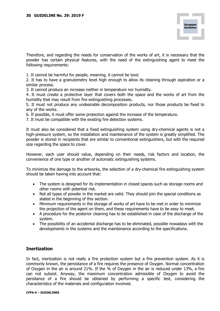Therefore, and regarding the needs for conservation of the works of art, it is necessary that the powder has certain physical features, with the need of the extinguishing agent to meet the following requirements:

1. It cannot be harmful for people, meaning, it cannot be toxic

2. It has to have a granulometry level high enough to allow its cleaning through aspiration or a similar process.

3. It cannot produce an increase neither in temperature nor humidity.

4. It must create a protective layer that covers both the space and the works of art from the humidity that may result from fire extinguishing processes.

5. It must not produce any undesirable decomposition products, nor those products be fixed to any of the works.

6. If possible, it must offer some protection against the increase of the temperature.

7. It must be compatible with the existing fire detection systems.

It must also be considered that a fixed extinguishing system using dry-chemical agents is not a high-pressure system, so the installation and maintenance of the system is greatly simplified. The powder is stored in recipients that are similar to conventional extinguishers, but with the required size regarding the space to cover.

However, each user should value, depending on their needs, risk factors and location, the convenience of one type or another of automatic extinguishing systems.

To minimize the damage to the artworks, the selection of a dry-chemical fire extinguishing system should be taken having into account that:

- The system is designed for its implementation in closed spaces such as storage rooms and other rooms with potential risk.
- Not all types of powder in the market are valid. They should join the special conditions as stated in the beginning of this section.
- Minimum requirements in the storage of works of art have to be met in order to minimize the projection of the agent on them, and these requirements have to be easy to meet.
- A procedure for the posterior cleaning has to be established in case of the discharge of the system.
- The possibility of an accidental discharge has to be eliminated, possible nowadays with the developments in the systems and the maintenance according to the specifications.

# **Inertization**

In fact, inertization is not really a fire protection system but a fire prevention system. As it is commonly known, the persistance of a fire requires the presence of Oxygen. Normal concentration of Oxygen in the air is around 21%. If the % of Oxygen in the air is reduced under 13%, a fire can not subsist. Anyway, the maximum concentration admissible of Oxygen to avoid the peristance of a fire should be obtained by performing a specific test, considering the characteristics of the materials and configuration involved.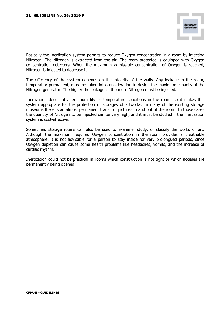Basically the inertization system permits to reduce Oxygen concentration in a room by injecting Nitrogen. The Nitrogen is extracted from the air. The room protected is equipped with Oxygen concentration detectors. When the maximum admissible concentration of Oxygen is reached, Nitrogen is injected to decrease it.

The efficiency of the system depends on the integrity of the walls. Any leakage in the room, temporal or permanent, must be taken into consideration to design the maximum capacity of the Nitrogen generator. The higher the leakage is, the more Nitrogen must be injected.

Inertization does not altere humidity or temperature conditions in the room, so it makes this system appropiate for the protection of storages of artworks. In many of the existing storage museums there is an almost permanent transit of pictures in and out of the room. In those cases the quantity of Nitrogen to be injected can be very high, and it must be studied if the inertization system is cost-effective.

Sometimes storage rooms can also be used to examine, study, or classify the works of art. Although the maximum required Oxygen concentration in the room provides a breathable atmosphere, it is not advisable for a person to stay inside for very prolongued periods, since Oxygen depletion can cause some health problems like headaches, vomits, and the increase of cardiac rhythm.

Inertization could not be practical in rooms which construction is not tight or which acceses are permanently being opened.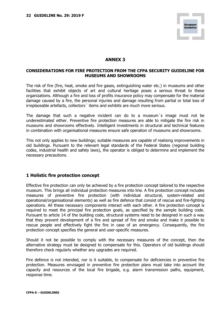

### **ANNEX 3**

#### **CONSIDERATIONS FOR FIRE PROTECTION FROM THE CFPA SECURITY GUIDELINE FOR MUSEUMS AND SHOWROOMS**

The risk of fire (fire, heat, smoke and fire gases, extinguishing water etc.) in museums and other facilities that exhibit objects of art and cultural heritage poses a serious threat to these organizations. Although a fire and loss of profits insurance policy may compensate for the material damage caused by a fire, the personal injuries and damage resulting from partial or total loss of irreplaceable artefacts, collectors´ items and exhibits are much more serious.

The damage that such a negative incident can do to a museum´s image must not be underestimated either. Preventive fire protection measures are able to mitigate the fire risk in museums and showrooms effectively. Intelligent investments in structural and technical features in combination with organisational measures ensure safe operation of museums and showrooms.

This not only applies to new buildings; suitable measures are capable of realising improvements in old buildings. Pursuant to the relevant legal standards of the Federal States (regional building codes, industrial health and safety laws), the operator is obliged to determine and implement the necessary precautions.

#### **1 Holistic fire protection concept**

Effective fire protection can only be achieved by a fire protection concept tailored to the respective museum. This brings all individual protection measures into line. A fire protection concept includes measures of preventive fire protection (with individual structural, system-related and operational/organisational elements) as well as fire defence that consist of rescue and fire-fighting operations. All these necessary components interact with each other. A fire protection concept is required to meet the principal fire protection goals, as specified by the sample building code. Pursuant to article 14 of the building code, structural systems need to be designed in such a way that they prevent development of a fire and spread of fire and smoke and make it possible to rescue people and effectively fight the fire in case of an emergency. Consequently, the fire protection concept specifies the general and user-specific measures.

Should it not be possible to comply with the necessary measures of the concept, then the alternative strategy must be designed to compensate for this. Operators of old buildings should therefore check regularly whether any upgrades are required.

Fire defence is not intended, nor is it suitable, to compensate for deficiencies in preventive fire protection. Measures envisaged in preventive fire protection plans must take into account the capacity and resources of the local fire brigade, e.g. alarm transmission paths, equipment, response time.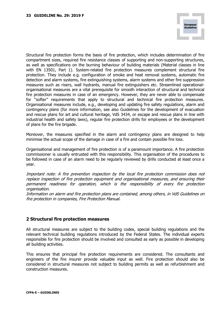Structural fire protection forms the basis of fire protection, which includes determination of fire compartment sizes, required fire resistance classes of supporting and non-supporting structures, as well as specifications on the burning behaviour of building materials (Material classes in line with EN 13501, Part 1). System-related fire protection measures complement structural fire protection. They include e.g. configuration of smoke and heat removal systems, automatic fire detection and alarm systems, fire extinguishing systems, alarm systems and other fire suppression measures such as risers, wall hydrants, manual fire extinguishers etc. Streamlined operationalorganisational measures are a vital prerequisite for smooth interaction of structural and technical fire protection measures in case of an emergency. However, they are never able to compensate for "softer" requirements that apply to structural and technical fire protection measures. Organisational measures include, e.g., developing and updating fire safety regulations, alarm and contingency plans (for more information, see also Guidelines for the development of evacuation and rescue plans for art and cultural heritage, VdS 3434, or escape and rescue plans in line with industrial health and safety laws), regular fire protection drills for employees or the development of plans for the fire brigade.

Moreover, the measures specified in the alarm and contingency plans are designed to help minimise the actual scope of the damage in case of a fire and contain possible fire loss.

Organisational and management of fire protection is of a paramount importance. A fire protection commissioner is usually entrusted with this responsibility. This organisation of the procedures to be followed in case of an alarm need to be regularly reviewed by drills conducted at least once a year.

Important note: A fire prevention inspection by the local fire protection commission does not replace inspection of fire protection equipment and organisational measures, and ensuring their permanent readiness for operation, which is the responsibility of every fire protection organisation.

Information on alarm and fire protection plans are contained, among others, in VdS Guidelines on fire protection in companies, Fire Protection Manual.

# **2 Structural fire protection measures**

All structural measures are subject to the building codes, special building regulations and the relevant technical building regulations introduced by the Federal States. The individual experts responsible for fire protection should be involved and consulted as early as possible in developing all building activities.

This ensures that principal fire protection requirements are considered. The consultants and engineers of the fire insurer provide valuable input as well. Fire protection should also be considered in structural measures not subject to building permits as well as refurbishment and construction measures.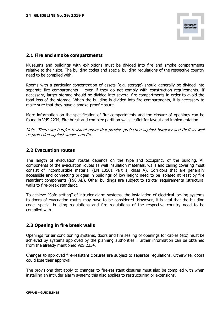# **2.1 Fire and smoke compartments**

Museums and buildings with exhibitions must be divided into fire and smoke compartments relative to their size. The building codes and special building regulations of the respective country need to be complied with.

Rooms with a particular concentration of assets (e.g. storage) should generally be divided into separate fire compartments  $-$  even if they do not comply with construction requirements. If necessary, larger storage should be divided into several fire compartments in order to avoid the total loss of the storage. When the building is divided into fire compartments, it is necessary to make sure that they have a smoke-proof closure.

More information on the specification of fire compartments and the closure of openings can be found in VdS 2234, Fire break and complex partition walls leaflet for layout and implementation.

Note: There are burglar-resistant doors that provide protection against burglary and theft as well as protection against smoke and fire.

# **2.2 Evacuation routes**

The length of evacuation routes depends on the type and occupancy of the building. All components of the evacuation routes as well insulation materials, walls and ceiling covering must consist of incombustible material (EN 13501 Part 1, class A). Corridors that are generally accessible and connecting bridges in buildings of low height need to be isolated at least by fire retardant components (F90 AB). Other buildings are subject to stricter requirements (structural walls to fire-break standard).

To achieve "Safe setting" of intruder alarm systems, the installation of electrical locking systems to doors of evacuation routes may have to be considered. However, it is vital that the building code, special building regulations and fire regulations of the respective country need to be complied with.

# **2.3 Opening in fire break walls**

Openings for air conditioning systems, doors and fire sealing of openings for cables (etc) must be achieved by systems approved by the planning authorities. Further information can be obtained from the already mentioned VdS 2234.

Changes to approved fire-resistant closures are subject to separate regulations. Otherwise, doors could lose their approval.

The provisions that apply to changes to fire-resistant closures must also be complied with when installing an intruder alarm system; this also applies to restructuring or extensions.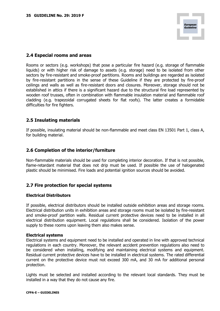# **2.4 Especial rooms and areas**

Rooms or sectors (e.g. workshops) that pose a particular fire hazard (e.g. storage of flammable liquids) or with higher risk of damage to assets (e.g. storage) need to be isolated from other sectors by fire-resistant and smoke-proof partitions. Rooms and buildings are regarded as isolated by fire-resistant partitions in the sense of these Guideline if they are protected by fire-proof ceilings and walls as well as fire-resistant doors and closures. Moreover, storage should not be established in attics if there is a significant hazard due to the structural fire load represented by wooden roof trusses, often in combination with flammable insulation material and flammable roof cladding (e.g. trapezoidal corrugated sheets for flat roofs). The latter creates a formidable difficulties for fire fighters.

# **2.5 Insulating materials**

If possible, insulating material should be non-flammable and meet class EN 13501 Part 1, class A, for building material.

# **2.6 Completion of the interior/furniture**

Non-flammable materials should be used for completing interior decoration. If that is not possible, flame-retardant material that does not drip must be used. If possible the use of halogenated plastic should be minimised. Fire loads and potential ignition sources should be avoided.

# **2.7 Fire protection for special systems**

#### **Electrical Distributors**

If possible, electrical distributors should be installed outside exhibition areas and storage rooms. Electrical distribution units in exhibition areas and storage rooms must be isolated by fire-resistant and smoke-proof partition walls. Residual current protective devices need to be installed in all electrical distribution equipment. Local regulations shall be considered. Isolation of the power supply to these rooms upon leaving them also makes sense.

#### **Electrical systems**

Electrical systems and equipment need to be installed and operated in line with approved technical regulations in each country. Moreover, the relevant accident prevention regulations also need to be considered when installing, modifying and maintaining electrical systems and equipment. Residual current protective devices have to be installed in electrical systems. The rated differential current on the protective device must not exceed 300 mA, and 30 mA for additional personal protection.

Lights must be selected and installed according to the relevant local standards. They must be installed in a way that they do not cause any fire.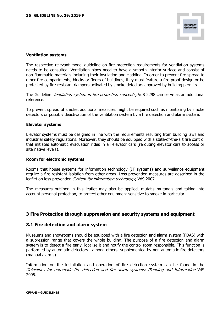#### **Ventilation systems**

The respective relevant model guideline on fire protection requirements for ventilation systems needs to be consulted. Ventilation pipes need to have a smooth interior surface and consist of non-flammable materials including their insulation and cladding. In order to prevent fire spread to other fire compartments, blocks or floors of buildings, they must feature a fire-proof design or be protected by fire-resistant dampers activated by smoke detectors approved by building permits.

The Guideline Ventilation system in fire protection concepts, VdS 2298 can serve as an additional reference.

To prevent spread of smoke, additional measures might be required such as monitoring by smoke detectors or possibly deactivation of the ventilation system by a fire detection and alarm system.

#### **Elevator systems**

Elevator systems must be designed in line with the requirements resulting from building laws and industrial safety regulations. Moreover, they should be equipped with a state-of-the-art fire control that initiates automatic evacuation rides in all elevator cars (rerouting elevator cars to access or alternative levels).

#### **Room for electronic systems**

Rooms that house systems for information technology (IT systems) and surveilance equipment require a fire-resistant isolation from other areas. Loss prevention measures are described in the leaflet on loss prevention *System for information technology*, VdS 2007.

The measures outlined in this leaflet may also be applied, mutatis mutandis and taking into account personal protection, to protect other equipment sensitive to smoke in particular.

# **3 Fire Protection through suppression and security systems and equipment**

#### **3.1 Fire detection and alarm system**

Museums and showrooms should be equipped with a fire detection and alarm system (FDAS) with a supression range that covers the whole building. The purpose of a fire detection and alarm system is to detect a fire early, localise it and notify the control room responsible. This function is performed by automatic detectors , among others, supplemented by non-automatic fire detectors (manual alarms).

Information on the installation and operation of fire detection system can be found in the Guidelines for automatic fire detection and fire alarm systems; Planning and Information VdS 2095.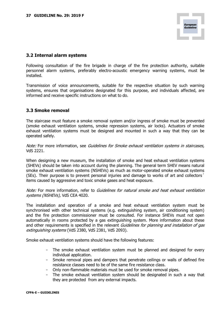# **3.2 Internal alarm systems**

Following consultation of the fire brigade in charge of the fire protection authority, suitable personnel alarm systems, preferably electro-acoustic emergency warning systems, must be installed.

Transmission of voice announcements, suitable for the respective situation by such warning systems, ensures that organisations designated for this purpose, and individuals affected, are informed and receive specific instructions on what to do.

# **3.3 Smoke removal**

The staircase must feature a smoke removal system and/or ingress of smoke must be prevented (smoke exhaust ventilation systems, smoke repression systems, air locks). Actuators of smoke exhaust ventilation systems must be designed and mounted in such a way that they can be operated safely.

Note: For more information, see Guidelines for Smoke exhaust ventilation systems in staircases, VdS 2221.

When designing a new museum, the installation of smoke and heat exhaust ventilation systems (SHEVs) should be taken into account during the planning. The general term SHEV means natural smoke exhaust ventilation systems (NSHEVs) as much as motor-operated smoke exhaust systems (SEs). Their purpose is to prevent personal injuries and damage to works of art and collectors´ items caused by aggressive and toxic smoke gases and heat exposure.

Note: For more information, refer to Guidelines for natural smoke and heat exhaust ventilation systems (NSHEVs), VdS CEA 4020.

The installation and operation of a smoke and heat exhaust ventilation system must be synchronised with other technical systems (e.g. extinguishing system, air conditioning system) and the fire protection commissioner must be consulted. For instance SHEVs must not open automatically in rooms protected by a gas extinguishing system. More information about these and other requirements is specified in the relevant *Guidelines for planning and installation of gas* extinguishing systems (VdS 2380, VdS 2381, VdS 2093).

Smoke exhaust ventilation systems should have the following features:

- The smoke exhaust ventilation system must be planned and designed for every individual application.
- Smoke removal pipes and dampers that penetrate ceilings or walls of defined fire resistance classes need to be of the same fire resistance class.
- Only non-flammable materials must be used for smoke removal pipes.
- The smoke exhaust ventilation system should be designated in such a way that they are protected from any external impacts.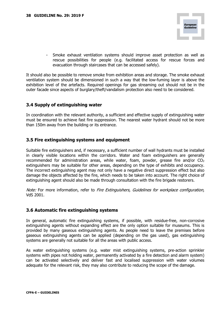- Smoke exhaust ventilation systems should improve asset protection as well as rescue possibilities for people (e.g. facilitated access for rescue forces and evacuation through staircases that can be accessed safely).

It should also be possible to remove smoke from exhibition areas and storage. The smoke exhaust ventilation system should be dimensioned in such a way that the low-fuming layer is above the exhibition level of the artefacts. Required openings for gas streaming out should not be in the outer facade since aspects of burglary/theft/vandalism protection also need to be considered.

# **3.4 Supply of extinguishing water**

In coordination with the relevant authority, a sufficient and effective supply of extinguishing water must be ensured to achieve fast fire suppression. The nearest water hydrant should not be more than 150m away from the building or its entrance.

# **3.5 Fire extinguishing systems and equipment**

Suitable fire extinguishers and, if necessary, a sufficient number of wall hydrants must be installed in clearly visible locations within the corridors. Water and foam extinguishers are generally recommended for administration areas, while water, foam, powder, grease fire and/or  $CO<sub>2</sub>$ extinguishers may be suitable for other areas, depending on the type of exhibits and occupancy. The incorrect extinguishing agent may not only have a negative direct suppression effect but also damage the objects affected by the fire, which needs to be taken into account. The right choice of extinguishing agent should also be made through consultation with the fire brigade restorers.

Note: For more information, refer to Fire Extinguishers, Guidelines for workplace configuration, VdS 2001.

# **3.6 Automatic fire extinguishing systems**

In general, automatic fire extinguishing systems, if possible, with residue-free, non-corrosive extinguishing agents without expanding effect are the only option suitable for museums. This is provided by many gaseous extinguishing agents. As people need to leave the premises before gaseous extinguishing agents can be applied (depending on the gas used), gas extinguishing systems are generally not suitable for all the areas with public access.

As water extinguishing systems (e.g. water mist extinguishing systems, pre-action sprinkler systems with pipes not holding water, permanently activated by a fire detection and alarm system) can be activated selectively and deliver fast and localised suppression with water volumes adequate for the relevant risk, they may also contribute to reducing the scope of the damage.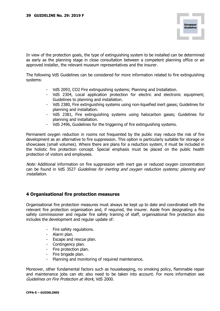In view of the protection goals, the type of extinguishing system to be installed can be determined as early as the planning stage in close consultation between a competent planning office or an approved installer, the relevant museum representatives and the insurer.

The following VdS Guidelines can be considered for more information related to fire extinguishing systems:

- VdS 2093, CO2 Fire extinguishing systems; Planning and Installation.
- VdS 2304, Local application protection for electric and electronic equipment; Guidelines to planning and installation.
- VdS 2380, Fire extinguishing systems using non-liquefied inert gases; Guidelines for planning and installation.
- VdS 2381, Fire extinguishing systems using halocarbon gases; Guidelines for planning and installation.
- VdS 2496, Guidelines for the triggering of fire extinguishing systems.

Permanent oxygen reduction in rooms not frequented by the public may reduce the risk of fire development as an alternative to fire suppression. This option is particularly suitable for storage or showcases (small volumes). Where there are plans for a reduction system, it must be included in the holistic fire protection concept. Special emphasis must be placed on the public health protection of visitors and employees.

Note: Additional information on fire suppression with inert gas or reduced oxygen concentration can be found in VdS 3527 Guidelines for inerting and oxygen reduction systems; planning and installation.

# **4 Organisational fire protection measures**

Organisational fire protection measures must always be kept up to date and coordinated with the relevant fire protection organisation and, if required, the insurer. Aside from designating a fire safety commissioner and regular fire safety training of staff, organisational fire protection also includes the development and regular update of:

- Fire safety regulations.
- Alarm plan.
- Escape and rescue plan.
- Contingency plan.
- Fire protection plan.
- Fire brigade plan.
- Planning and monitoring of required maintenance.

Moreover, other fundamental factors such as housekeeping, no smoking policy, flammable repair and maintenance jobs can etc also need to be taken into account. For more information see Guidelines on Fire Protection at Work, VdS 2000.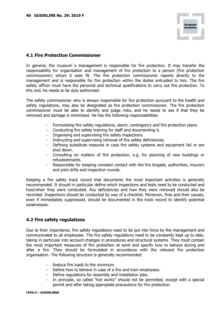# **4.1 Fire Protection Commissioner**

In general, the museum's management is responsible for fire protection. It may transfer the responsability for organisation and management of fire protection to a person (fire protection commissioner) whom it sees fit. The fire protection commissioner reports directly to the management and is responsible for fire protection within the duties entrusted to him. The fire safety officer must have the personal and technical qualifications to carry out fire protection. To this end, he needs to be duly authorised.

The safety commissioner who is always responsible for fire protection pursuant to the health and safety regulations, may also be designated as fire protection commissioner. The fire protection commissioner must be able to identify and judge risks, and he needs to see if that they be removed and damage is minimised. He has the following responsabilities:

- Formulating fire safety regulations, alarm, contingency and fire protection plans.
- Conducting fire safety training for staff and documenting it.
- Organising and supervising fire safety inspections.
- Instructing and supervising removal of fire safety deficiencies.
- Defining substitute meaures in case fire safety systems and equipment fail or are shut down.
- Consulting on matters of fire protection, e.g. for planning of new buildings or refusbishments.
- Responsible for keeping constant contact with the fire brigade, authorities, insurers and joint drills and inspection rounds.

Keeping a fire safety track record that documents the most important activities is generally recommended. It should in particular define which inspections and tests need to be conducted and how/when they were conducted. Any deficiencies and how they were removed should also be recorded. Inspections should be conducted by way of a checklist. Moreover, fires and their causes, even if immediately suppressed, should be documented in the track record to identify potential weaknesses.

# **4.2 Fire safety regulations**

Due to their importance, fire safety regulations need to be put into force by the management and communicated to all employees. The fire safety regulations need to be constantly kept up to date, taking in particular into account changes in procedures and structural systems. They must contain the most important measures of fire protection at work and specify how to bahave during and after a fire. They should be formulated in accordance with the relevant fire protection organisation. The following structure is generally recommended:

- Reduce fire loads to the minimum.
- Define how to behave in case of a fire and train employees.
- Define regulations for assembly and installation jobs.
- In principle, so called "hot works" should not be permitted, except with a special permit and after taking appropiate precautions for fire protection.